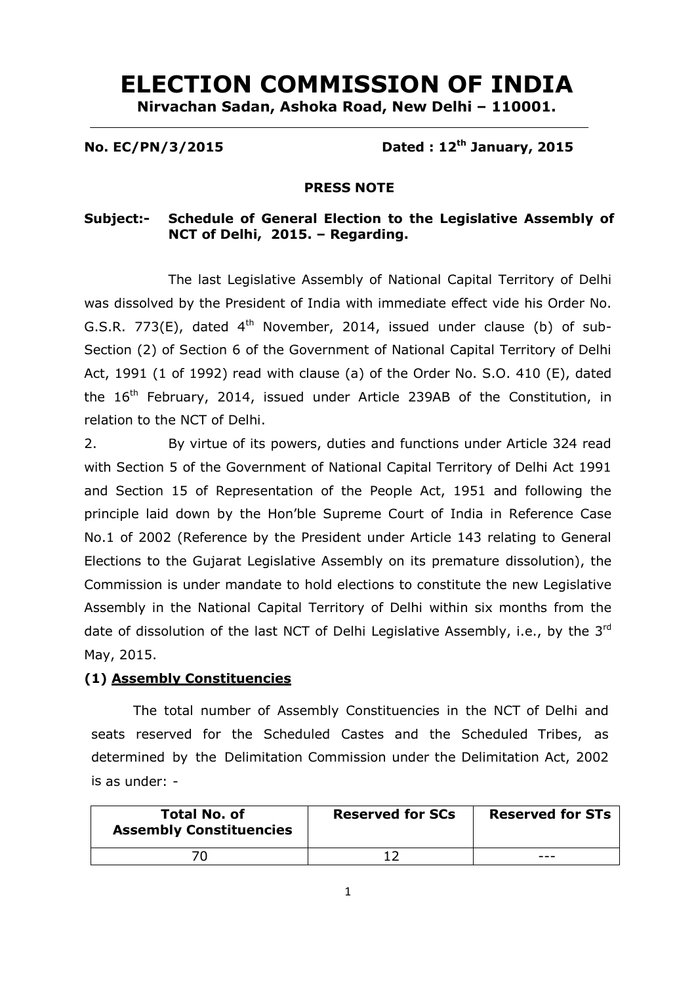# **ELECTION COMMISSION OF INDIA**

**Nirvachan Sadan, Ashoka Road, New Delhi – 110001.**

# **No. EC/PN/3/2015 Dated : 12th January, 2015**

#### **PRESS NOTE**

# **Subject:- Schedule of General Election to the Legislative Assembly of NCT of Delhi, 2015. – Regarding.**

The last Legislative Assembly of National Capital Territory of Delhi was dissolved by the President of India with immediate effect vide his Order No. G.S.R. 773(E), dated  $4<sup>th</sup>$  November, 2014, issued under clause (b) of sub-Section (2) of Section 6 of the Government of National Capital Territory of Delhi Act, 1991 (1 of 1992) read with clause (a) of the Order No. S.O. 410 (E), dated the 16<sup>th</sup> February, 2014, issued under Article 239AB of the Constitution, in relation to the NCT of Delhi.

2. By virtue of its powers, duties and functions under Article 324 read with Section 5 of the Government of National Capital Territory of Delhi Act 1991 and Section 15 of Representation of the People Act, 1951 and following the principle laid down by the Hon'ble Supreme Court of India in Reference Case No.1 of 2002 (Reference by the President under Article 143 relating to General Elections to the Gujarat Legislative Assembly on its premature dissolution), the Commission is under mandate to hold elections to constitute the new Legislative Assembly in the National Capital Territory of Delhi within six months from the date of dissolution of the last NCT of Delhi Legislative Assembly, i.e., by the  $3^{rd}$ May, 2015.

## **(1) Assembly Constituencies**

The total number of Assembly Constituencies in the NCT of Delhi and seats reserved for the Scheduled Castes and the Scheduled Tribes, as determined by the Delimitation Commission under the Delimitation Act, 2002 is as under: -

| <b>Total No. of</b><br><b>Assembly Constituencies</b> | <b>Reserved for SCs</b> | <b>Reserved for STs</b> |
|-------------------------------------------------------|-------------------------|-------------------------|
|                                                       |                         |                         |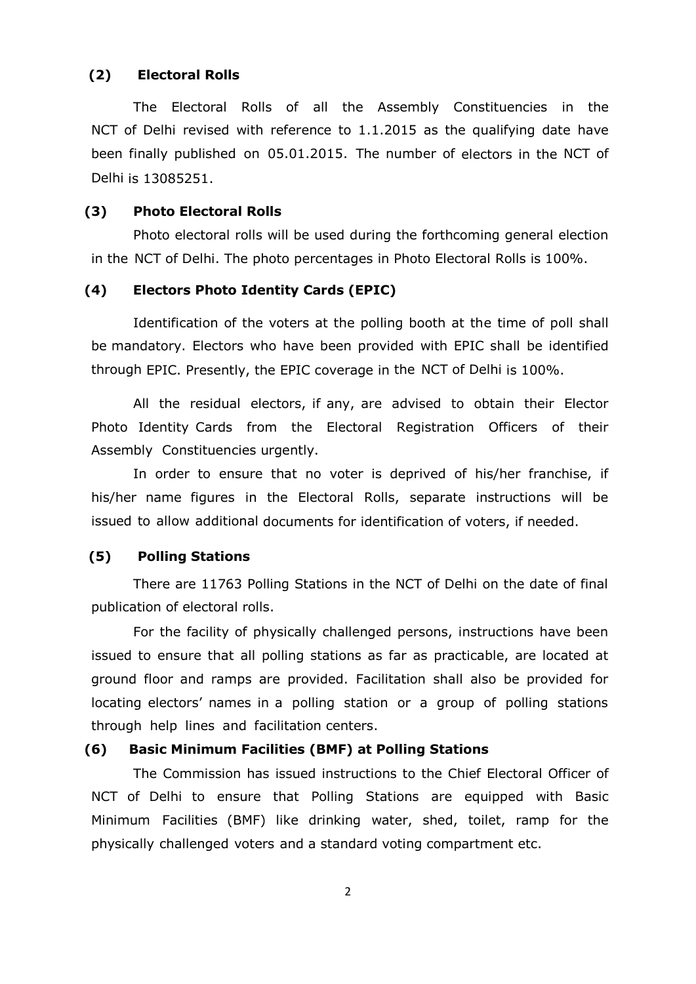#### **(2) Electoral Rolls**

The Electoral Rolls of all the Assembly Constituencies in the NCT of Delhi revised with reference to 1.1.2015 as the qualifying date have been finally published on 05.01.2015. The number of electors in the NCT of Delhi is 13085251.

#### **(3) Photo Electoral Rolls**

Photo electoral rolls will be used during the forthcoming general election in the NCT of Delhi. The photo percentages in Photo Electoral Rolls is 100%.

## **(4) Electors Photo Identity Cards (EPIC)**

Identification of the voters at the polling booth at the time of poll shall be mandatory. Electors who have been provided with EPIC shall be identified through EPIC. Presently, the EPIC coverage in the NCT of Delhi is 100%.

All the residual electors, if any, are advised to obtain their Elector Photo Identity Cards from the Electoral Registration Officers of their Assembly Constituencies urgently.

In order to ensure that no voter is deprived of his/her franchise, if his/her name figures in the Electoral Rolls, separate instructions will be issued to allow additional documents for identification of voters, if needed.

#### **(5) Polling Stations**

There are 11763 Polling Stations in the NCT of Delhi on the date of final publication of electoral rolls.

For the facility of physically challenged persons, instructions have been issued to ensure that all polling stations as far as practicable, are located at ground floor and ramps are provided. Facilitation shall also be provided for locating electors' names in a polling station or a group of polling stations through help lines and facilitation centers.

# **(6) Basic Minimum Facilities (BMF) at Polling Stations**

The Commission has issued instructions to the Chief Electoral Officer of NCT of Delhi to ensure that Polling Stations are equipped with Basic Minimum Facilities (BMF) like drinking water, shed, toilet, ramp for the physically challenged voters and a standard voting compartment etc.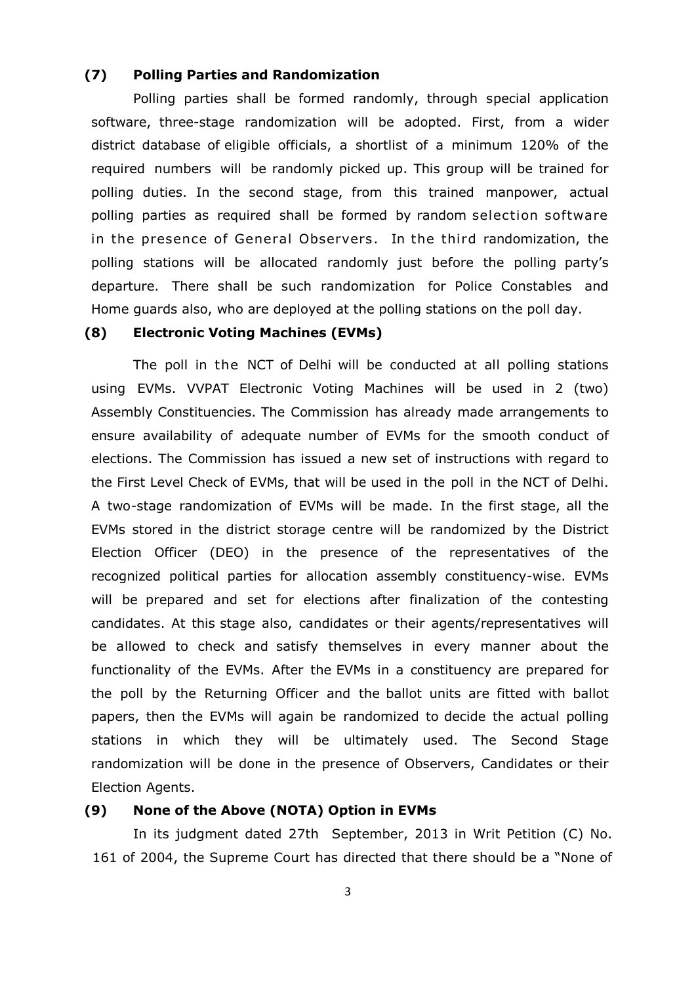## **(7) Polling Parties and Randomization**

Polling parties shall be formed randomly, through special application software, three-stage randomization will be adopted. First, from a wider district database of eligible officials, a shortlist of a minimum 120% of the required numbers will be randomly picked up. This group will be trained for polling duties. In the second stage, from this trained manpower, actual polling parties as required shall be formed by random selection software in the presence of General Observers. In the third randomization, the polling stations will be allocated randomly just before the polling party's departure. There shall be such randomization for Police Constables and Home guards also, who are deployed at the polling stations on the poll day.

# **(8) Electronic Voting Machines (EVMs)**

The poll in the NCT of Delhi will be conducted at all polling stations using EVMs. VVPAT Electronic Voting Machines will be used in 2 (two) Assembly Constituencies. The Commission has already made arrangements to ensure availability of adequate number of EVMs for the smooth conduct of elections. The Commission has issued a new set of instructions with regard to the First Level Check of EVMs, that will be used in the poll in the NCT of Delhi. A two-stage randomization of EVMs will be made. In the first stage, all the EVMs stored in the district storage centre will be randomized by the District Election Officer (DEO) in the presence of the representatives of the recognized political parties for allocation assembly constituency-wise. EVMs will be prepared and set for elections after finalization of the contesting candidates. At this stage also, candidates or their agents/representatives will be allowed to check and satisfy themselves in every manner about the functionality of the EVMs. After the EVMs in a constituency are prepared for the poll by the Returning Officer and the ballot units are fitted with ballot papers, then the EVMs will again be randomized to decide the actual polling stations in which they will be ultimately used. The Second Stage randomization will be done in the presence of Observers, Candidates or their Election Agents.

#### **(9) None of the Above (NOTA) Option in EVMs**

In its judgment dated 27th September, 2013 in Writ Petition (C) No. 161 of 2004, the Supreme Court has directed that there should be a "None of

3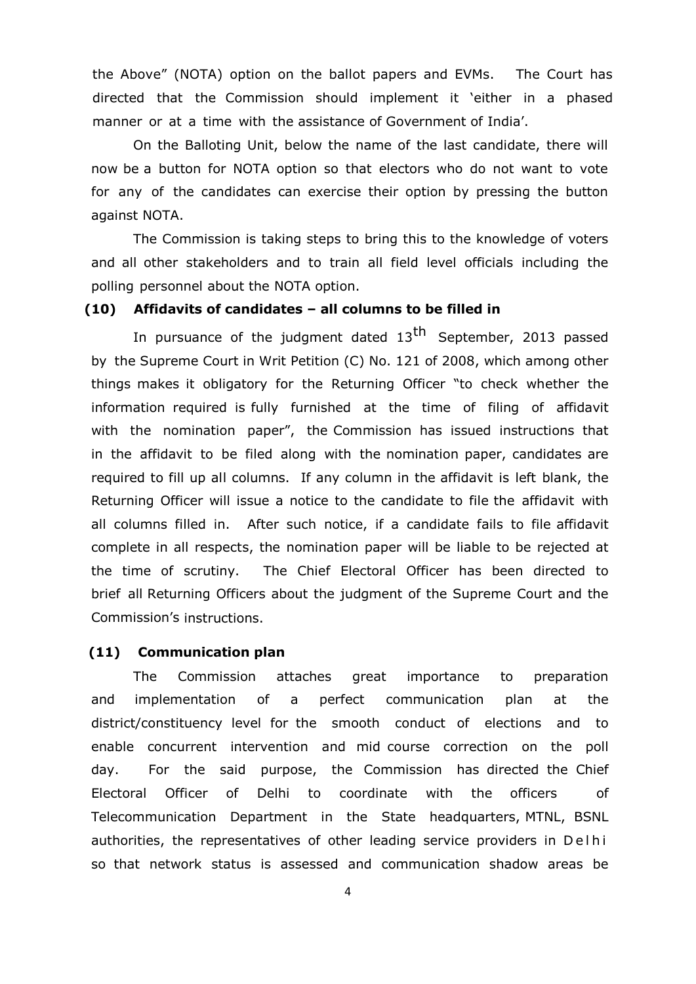the Above" (NOTA) option on the ballot papers and EVMs. The Court has directed that the Commission should implement it 'either in a phased manner or at a time with the assistance of Government of India'.

On the Balloting Unit, below the name of the last candidate, there will now be a button for NOTA option so that electors who do not want to vote for any of the candidates can exercise their option by pressing the button against NOTA.

The Commission is taking steps to bring this to the knowledge of voters and all other stakeholders and to train all field level officials including the polling personnel about the NOTA option.

# **(10) Affidavits of candidates – all columns to be filled in**

In pursuance of the judgment dated 13<sup>th</sup> September, 2013 passed by the Supreme Court in Writ Petition (C) No. 121 of 2008, which among other things makes it obligatory for the Returning Officer "to check whether the information required is fully furnished at the time of filing of affidavit with the nomination paper", the Commission has issued instructions that in the affidavit to be filed along with the nomination paper, candidates are required to fill up all columns. If any column in the affidavit is left blank, the Returning Officer will issue a notice to the candidate to file the affidavit with all columns filled in. After such notice, if a candidate fails to file affidavit complete in all respects, the nomination paper will be liable to be rejected at the time of scrutiny. The Chief Electoral Officer has been directed to brief all Returning Officers about the judgment of the Supreme Court and the Commission's instructions.

#### **(11) Communication plan**

The Commission attaches great importance to preparation and implementation of a perfect communication plan at the district/constituency level for the smooth conduct of elections and to enable concurrent intervention and mid course correction on the poll day. For the said purpose, the Commission has directed the Chief Electoral Officer of Delhi to coordinate with the officers of Telecommunication Department in the State headquarters, MTNL, BSNL authorities, the representatives of other leading service providers in Delhi so that network status is assessed and communication shadow areas be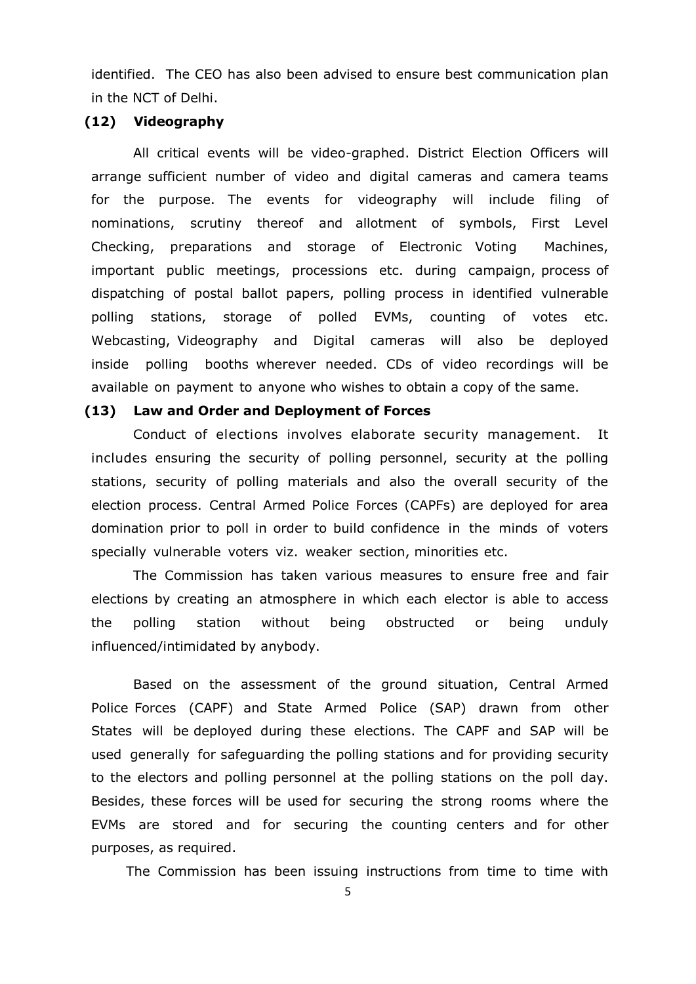identified. The CEO has also been advised to ensure best communication plan in the NCT of Delhi.

#### **(12) Videography**

All critical events will be video-graphed. District Election Officers will arrange sufficient number of video and digital cameras and camera teams for the purpose. The events for videography will include filing of nominations, scrutiny thereof and allotment of symbols, First Level Checking, preparations and storage of Electronic Voting Machines, important public meetings, processions etc. during campaign, process of dispatching of postal ballot papers, polling process in identified vulnerable polling stations, storage of polled EVMs, counting of votes etc. Webcasting, Videography and Digital cameras will also be deployed inside polling booths wherever needed. CDs of video recordings will be available on payment to anyone who wishes to obtain a copy of the same.

#### **(13) Law and Order and Deployment of Forces**

Conduct of elections involves elaborate security management. It includes ensuring the security of polling personnel, security at the polling stations, security of polling materials and also the overall security of the election process. Central Armed Police Forces (CAPFs) are deployed for area domination prior to poll in order to build confidence in the minds of voters specially vulnerable voters viz. weaker section, minorities etc.

The Commission has taken various measures to ensure free and fair elections by creating an atmosphere in which each elector is able to access the polling station without being obstructed or being unduly influenced/intimidated by anybody.

Based on the assessment of the ground situation, Central Armed Police Forces (CAPF) and State Armed Police (SAP) drawn from other States will be deployed during these elections. The CAPF and SAP will be used generally for safeguarding the polling stations and for providing security to the electors and polling personnel at the polling stations on the poll day. Besides, these forces will be used for securing the strong rooms where the EVMs are stored and for securing the counting centers and for other purposes, as required.

The Commission has been issuing instructions from time to time with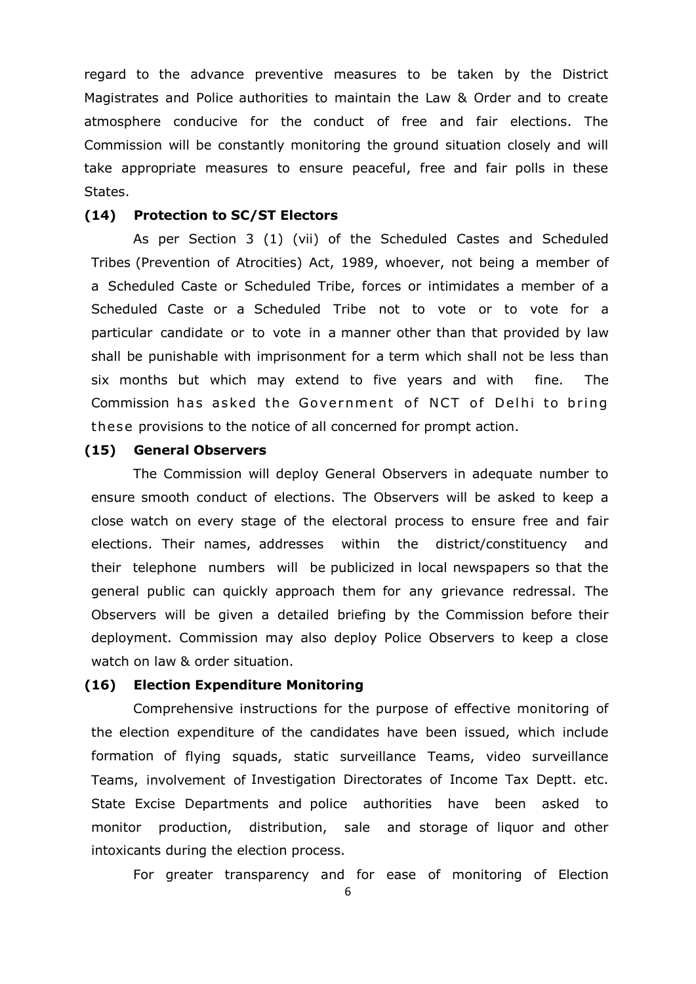regard to the advance preventive measures to be taken by the District Magistrates and Police authorities to maintain the Law & Order and to create atmosphere conducive for the conduct of free and fair elections. The Commission will be constantly monitoring the ground situation closely and will take appropriate measures to ensure peaceful, free and fair polls in these States.

#### **(14) Protection to SC/ST Electors**

As per Section 3 (1) (vii) of the Scheduled Castes and Scheduled Tribes (Prevention of Atrocities) Act, 1989, whoever, not being a member of a Scheduled Caste or Scheduled Tribe, forces or intimidates a member of a Scheduled Caste or a Scheduled Tribe not to vote or to vote for a particular candidate or to vote in a manner other than that provided by law shall be punishable with imprisonment for a term which shall not be less than six months but which may extend to five years and with fine. The Commission has asked the Government of NCT of Delhi to bring the se provisions to the notice of all concerned for prompt action.

#### **(15) General Observers**

The Commission will deploy General Observers in adequate number to ensure smooth conduct of elections. The Observers will be asked to keep a close watch on every stage of the electoral process to ensure free and fair elections. Their names, addresses within the district/constituency and their telephone numbers will be publicized in local newspapers so that the general public can quickly approach them for any grievance redressal. The Observers will be given a detailed briefing by the Commission before their deployment. Commission may also deploy Police Observers to keep a close watch on law & order situation.

#### **(16) Election Expenditure Monitoring**

Comprehensive instructions for the purpose of effective monitoring of the election expenditure of the candidates have been issued, which include formation of flying squads, static surveillance Teams, video surveillance Teams, involvement of Investigation Directorates of Income Tax Deptt. etc. State Excise Departments and police authorities have been asked to monitor production, distribution, sale and storage of liquor and other intoxicants during the election process.

For greater transparency and for ease of monitoring of Election

6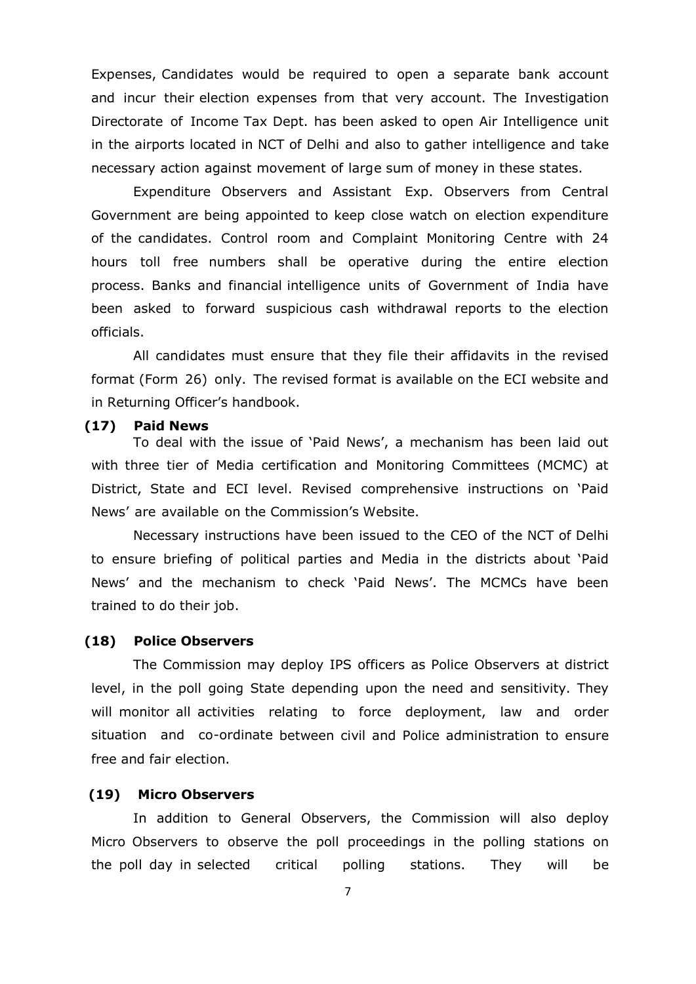Expenses, Candidates would be required to open a separate bank account and incur their election expenses from that very account. The Investigation Directorate of Income Tax Dept. has been asked to open Air Intelligence unit in the airports located in NCT of Delhi and also to gather intelligence and take necessary action against movement of large sum of money in these states.

Expenditure Observers and Assistant Exp. Observers from Central Government are being appointed to keep close watch on election expenditure of the candidates. Control room and Complaint Monitoring Centre with 24 hours toll free numbers shall be operative during the entire election process. Banks and financial intelligence units of Government of India have been asked to forward suspicious cash withdrawal reports to the election officials.

All candidates must ensure that they file their affidavits in the revised format (Form 26) only. The revised format is available on the ECI website and in Returning Officer's handbook.

#### **(17) Paid News**

To deal with the issue of 'Paid News', a mechanism has been laid out with three tier of Media certification and Monitoring Committees (MCMC) at District, State and ECI level. Revised comprehensive instructions on 'Paid News' are available on the Commission's Website.

Necessary instructions have been issued to the CEO of the NCT of Delhi to ensure briefing of political parties and Media in the districts about 'Paid News' and the mechanism to check 'Paid News'. The MCMCs have been trained to do their job.

#### **(18) Police Observers**

The Commission may deploy IPS officers as Police Observers at district level, in the poll going State depending upon the need and sensitivity. They will monitor all activities relating to force deployment, law and order situation and co-ordinate between civil and Police administration to ensure free and fair election.

#### **(19) Micro Observers**

In addition to General Observers, the Commission will also deploy Micro Observers to observe the poll proceedings in the polling stations on the poll day in selected critical polling stations. They will be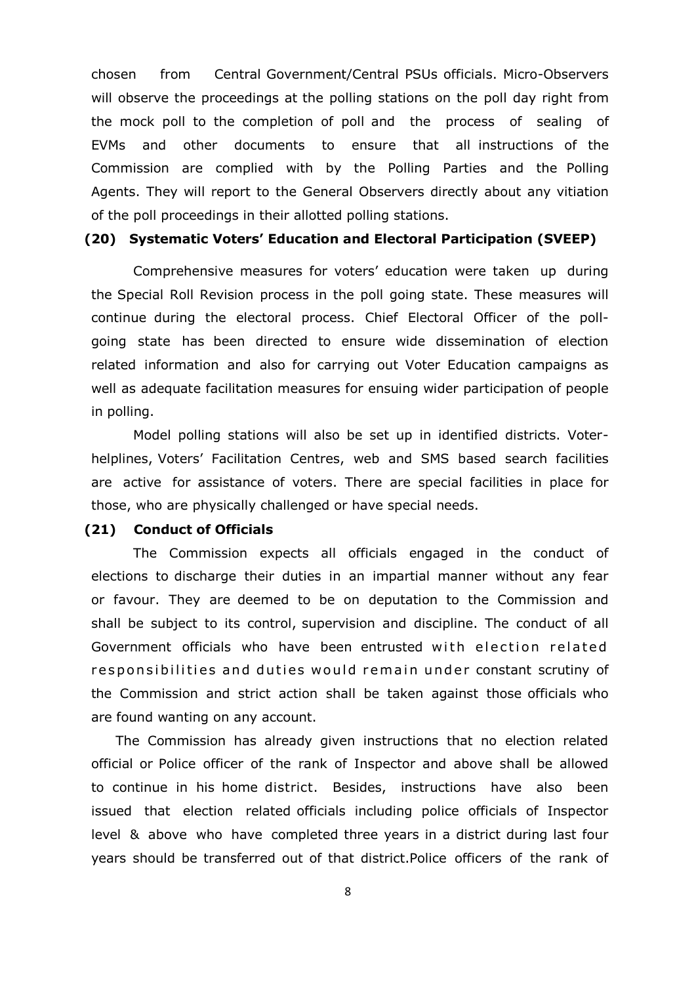chosen from Central Government/Central PSUs officials. Micro-Observers will observe the proceedings at the polling stations on the poll day right from the mock poll to the completion of poll and the process of sealing of EVMs and other documents to ensure that all instructions of the Commission are complied with by the Polling Parties and the Polling Agents. They will report to the General Observers directly about any vitiation of the poll proceedings in their allotted polling stations.

# **(20) Systematic Voters' Education and Electoral Participation (SVEEP)**

Comprehensive measures for voters' education were taken up during the Special Roll Revision process in the poll going state. These measures will continue during the electoral process. Chief Electoral Officer of the pollgoing state has been directed to ensure wide dissemination of election related information and also for carrying out Voter Education campaigns as well as adequate facilitation measures for ensuing wider participation of people in polling.

Model polling stations will also be set up in identified districts. Voterhelplines, Voters' Facilitation Centres, web and SMS based search facilities are active for assistance of voters. There are special facilities in place for those, who are physically challenged or have special needs.

#### **(21) Conduct of Officials**

The Commission expects all officials engaged in the conduct of elections to discharge their duties in an impartial manner without any fear or favour. They are deemed to be on deputation to the Commission and shall be subject to its control, supervision and discipline. The conduct of all Government officials who have been entrusted with election related responsibilities and duties would remain under constant scrutiny of the Commission and strict action shall be taken against those officials who are found wanting on any account.

The Commission has already given instructions that no election related official or Police officer of the rank of Inspector and above shall be allowed to continue in his home district. Besides, instructions have also been issued that election related officials including police officials of Inspector level & above who have completed three years in a district during last four years should be transferred out of that district.Police officers of the rank of

8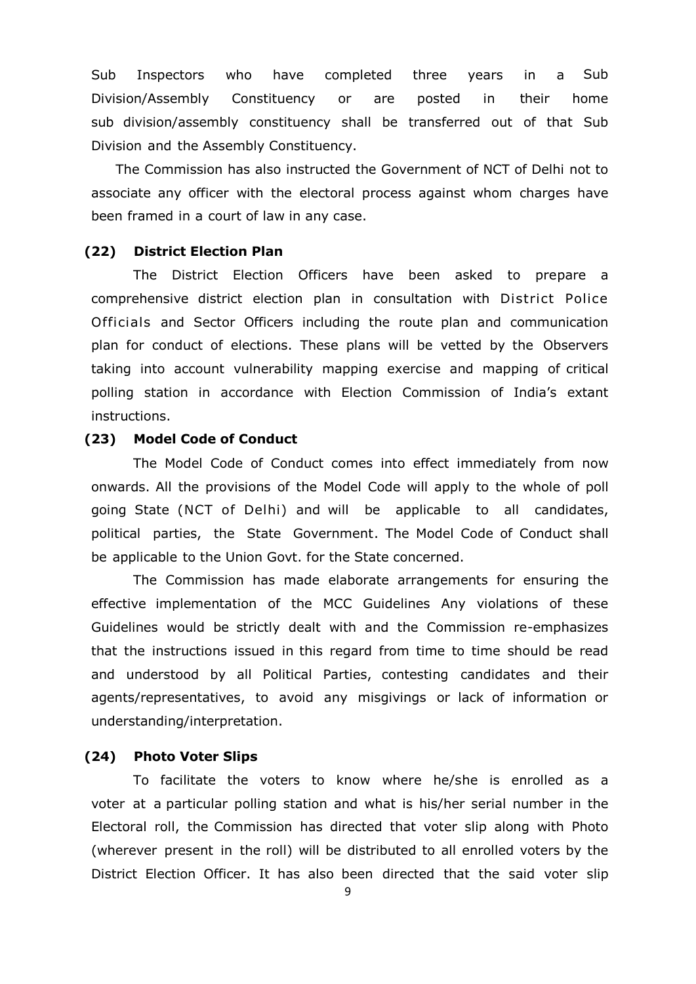Sub Inspectors who have completed three years in a Sub Division/Assembly Constituency or are posted in their home sub division/assembly constituency shall be transferred out of that Sub Division and the Assembly Constituency.

The Commission has also instructed the Government of NCT of Delhi not to associate any officer with the electoral process against whom charges have been framed in a court of law in any case.

## **(22) District Election Plan**

The District Election Officers have been asked to prepare a comprehensive district election plan in consultation with District Police Officials and Sector Officers including the route plan and communication plan for conduct of elections. These plans will be vetted by the Observers taking into account vulnerability mapping exercise and mapping of critical polling station in accordance with Election Commission of India's extant instructions.

#### **(23) Model Code of Conduct**

The Model Code of Conduct comes into effect immediately from now onwards. All the provisions of the Model Code will apply to the whole of poll going State (NCT of Delhi) and will be applicable to all candidates, political parties, the State Government. The Model Code of Conduct shall be applicable to the Union Govt. for the State concerned.

The Commission has made elaborate arrangements for ensuring the effective implementation of the MCC Guidelines Any violations of these Guidelines would be strictly dealt with and the Commission re-emphasizes that the instructions issued in this regard from time to time should be read and understood by all Political Parties, contesting candidates and their agents/representatives, to avoid any misgivings or lack of information or understanding/interpretation.

#### **(24) Photo Voter Slips**

To facilitate the voters to know where he/she is enrolled as a voter at a particular polling station and what is his/her serial number in the Electoral roll, the Commission has directed that voter slip along with Photo (wherever present in the roll) will be distributed to all enrolled voters by the District Election Officer. It has also been directed that the said voter slip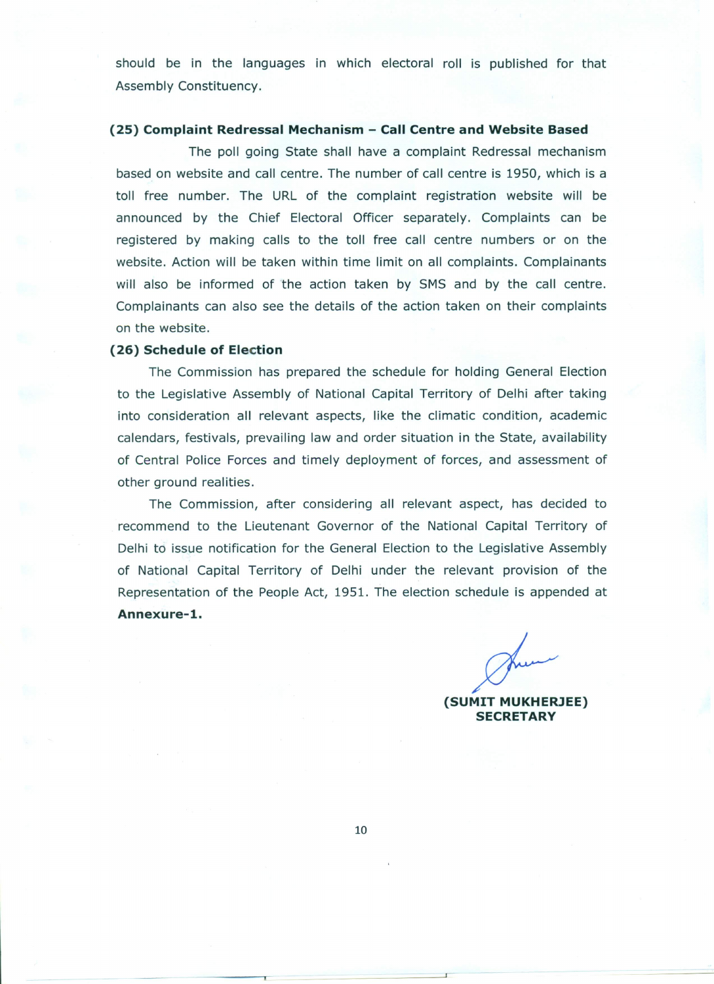should be in the languages in which electoral roll is published for that Assembly Constituency.

#### (25) Complaint Redressal Mechanism - Call Centre and Website Based

The poll going State shall have a complaint Redressal mechanism based on website and call centre. The number of call centre is 1950, which is a toll free number. The URL of the complaint registration website will be announced by the Chief Electoral Officer separately. Complaints can be registered by making calls to the toll free call centre numbers or on the website. Action will be taken within time limit on all complaints. Complainants will also be informed of the action taken by SMS and by the call centre. Complainants can also see the details of the action taken on their complaints on the website.

#### (26) Schedule of Election

The Commission has prepared the schedule for holding General Election to the Legislative Assembly of National Capital Territory of Delhi after taking into consideration all relevant aspects, like the climatic condition, academic calendars, festivals, prevailing law and order situation in the State, availability of Central Police Forces and timely deployment of forces, and assessment of other ground realities.

The Commission, after considering all relevant aspect, has decided to recommend to the Lieutenant Governor of the National Capital Territory of Delhi to issue notification for the General Election to the Legislative Assembly of National Capital Territory of Delhi under the relevant provision of the Representation of the People Act, 1951. The election schedule is appended at Annexure-1.

(SUMIT MUKHERJEE) **SECRETARY**